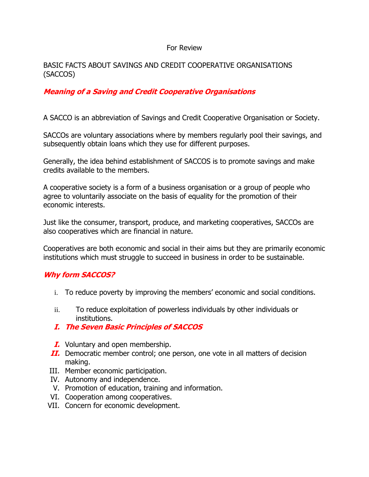#### For Review

## BASIC FACTS ABOUT SAVINGS AND CREDIT COOPERATIVE ORGANISATIONS (SACCOS)

# **Meaning of a Saving and Credit Cooperative Organisations**

A SACCO is an abbreviation of Savings and Credit Cooperative Organisation or Society.

SACCOs are voluntary associations where by members regularly pool their savings, and subsequently obtain loans which they use for different purposes.

Generally, the idea behind establishment of SACCOS is to promote savings and make credits available to the members.

A cooperative society is a form of a business organisation or a group of people who agree to voluntarily associate on the basis of equality for the promotion of their economic interests.

Just like the consumer, transport, produce, and marketing cooperatives, SACCOs are also cooperatives which are financial in nature.

Cooperatives are both economic and social in their aims but they are primarily economic institutions which must struggle to succeed in business in order to be sustainable.

# **Why form SACCOS?**

- i. To reduce poverty by improving the members' economic and social conditions.
- ii. To reduce exploitation of powerless individuals by other individuals or institutions.
- **I. The Seven Basic Principles of SACCOS**
- **I.** Voluntary and open membership.
- **II.** Democratic member control; one person, one vote in all matters of decision making.
- III. Member economic participation.
- IV. Autonomy and independence.
- V. Promotion of education, training and information.
- VI. Cooperation among cooperatives.
- VII. Concern for economic development.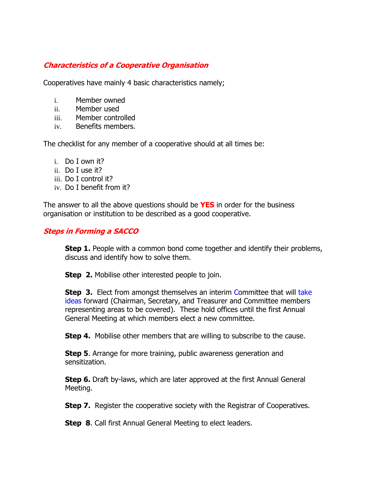# **Characteristics of a Cooperative Organisation**

Cooperatives have mainly 4 basic characteristics namely;

- i. Member owned
- ii. Member used
- iii. Member controlled
- iv. Benefits members.

The checklist for any member of a cooperative should at all times be:

- i. Do I own it?
- ii. Do I use it?
- iii. Do I control it?
- iv. Do I benefit from it?

The answer to all the above questions should be **YES** in order for the business organisation or institution to be described as a good cooperative.

## **Steps in Forming a SACCO**

**Step 1.** People with a common bond come together and identify their problems, discuss and identify how to solve them.

**Step 2.** Mobilise other interested people to join.

**Step 3.** Elect from amongst themselves an interim Committee that will take ideas forward (Chairman, Secretary, and Treasurer and Committee members representing areas to be covered). These hold offices until the first Annual General Meeting at which members elect a new committee.

**Step 4.** Mobilise other members that are willing to subscribe to the cause.

**Step 5**. Arrange for more training, public awareness generation and sensitization.

**Step 6.** Draft by-laws, which are later approved at the first Annual General Meeting.

**Step 7.** Register the cooperative society with the Registrar of Cooperatives.

**Step 8**. Call first Annual General Meeting to elect leaders.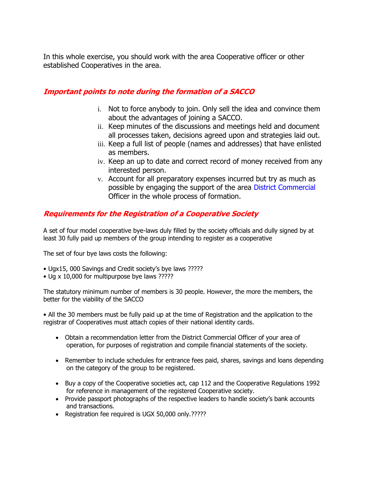In this whole exercise, you should work with the area Cooperative officer or other established Cooperatives in the area.

# **Important points to note during the formation of a SACCO**

- i. Not to force anybody to join. Only sell the idea and convince them about the advantages of joining a SACCO.
- ii. Keep minutes of the discussions and meetings held and document all processes taken, decisions agreed upon and strategies laid out.
- iii. Keep a full list of people (names and addresses) that have enlisted as members.
- iv. Keep an up to date and correct record of money received from any interested person.
- v. Account for all preparatory expenses incurred but try as much as possible by engaging the support of the area District Commercial Officer in the whole process of formation.

# **Requirements for the Registration of a Cooperative Society**

A set of four model cooperative bye-laws duly filled by the society officials and dully signed by at least 30 fully paid up members of the group intending to register as a cooperative

The set of four bye laws costs the following:

- Ugx15, 000 Savings and Credit society's bye laws ?????
- Ug x 10,000 for multipurpose bye laws ?????

The statutory minimum number of members is 30 people. However, the more the members, the better for the viability of the SACCO

• All the 30 members must be fully paid up at the time of Registration and the application to the registrar of Cooperatives must attach copies of their national identity cards.

- Obtain a recommendation letter from the District Commercial Officer of your area of operation, for purposes of registration and compile financial statements of the society.
- Remember to include schedules for entrance fees paid, shares, savings and loans depending on the category of the group to be registered.
- Buy a copy of the Cooperative societies act, cap 112 and the Cooperative Regulations 1992 for reference in management of the registered Cooperative society.
- Provide passport photographs of the respective leaders to handle society's bank accounts and transactions.
- Registration fee required is UGX 50,000 only.?????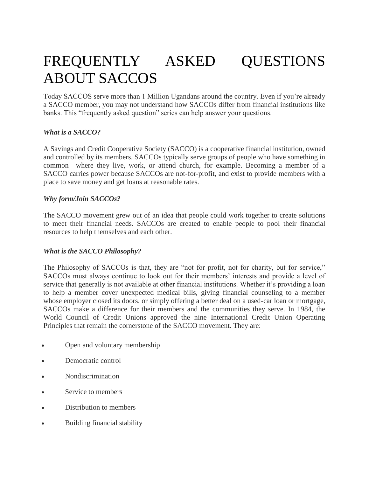# FREQUENTLY ASKED QUESTIONS ABOUT SACCOS

Today SACCOS serve more than 1 Million Ugandans around the country. Even if you're already a SACCO member, you may not understand how SACCOs differ from financial institutions like banks. This "frequently asked question" series can help answer your questions.

#### *What is a SACCO?*

A Savings and Credit Cooperative Society (SACCO) is a cooperative financial institution, owned and controlled by its members. SACCOs typically serve groups of people who have something in common—where they live, work, or attend church, for example. Becoming a member of a SACCO carries power because SACCOs are not-for-profit, and exist to provide members with a place to save money and get loans at reasonable rates.

#### *Why form/Join SACCOs?*

The SACCO movement grew out of an idea that people could work together to create solutions to meet their financial needs. SACCOs are created to enable people to pool their financial resources to help themselves and each other.

#### *What is the SACCO Philosophy?*

The Philosophy of SACCOs is that, they are "not for profit, not for charity, but for service," SACCOs must always continue to look out for their members' interests and provide a level of service that generally is not available at other financial institutions. Whether it's providing a loan to help a member cover unexpected medical bills, giving financial counseling to a member whose employer closed its doors, or simply offering a better deal on a used-car loan or mortgage, SACCOs make a difference for their members and the communities they serve. In 1984, the World Council of Credit Unions approved the nine International Credit Union Operating Principles that remain the cornerstone of the SACCO movement. They are:

- Open and voluntary membership
- Democratic control
- Nondiscrimination
- Service to members
- Distribution to members
- Building financial stability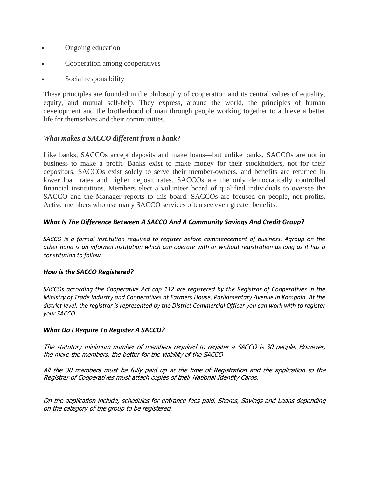- Ongoing education
- Cooperation among cooperatives
- Social responsibility

These principles are founded in the philosophy of cooperation and its central values of equality, equity, and mutual self-help. They express, around the world, the principles of human development and the brotherhood of man through people working together to achieve a better life for themselves and their communities.

#### *What makes a SACCO different from a bank?*

Like banks, SACCOs accept deposits and make loans—but unlike banks, SACCOs are not in business to make a profit. Banks exist to make money for their stockholders, not for their depositors. SACCOs exist solely to serve their member-owners, and benefits are returned in lower loan rates and higher deposit rates. SACCOs are the only democratically controlled financial institutions. Members elect a volunteer board of qualified individuals to oversee the SACCO and the Manager reports to this board. SACCOs are focused on people, not profits. Active members who use many SACCO services often see even greater benefits.

#### *What Is The Difference Between A SACCO And A Community Savings And Credit Group?*

*SACCO is a formal institution required to register before commencement of business. Agroup on the other hand is an informal institution which can operate with or without registration as long as it has a constitution to follow.*

#### *How is the SACCO Registered?*

*SACCOs according the Cooperative Act cap 112 are registered by the Registrar of Cooperatives in the Ministry of Trade Industry and Cooperatives at Farmers House, Parliamentary Avenue in Kampala. At the district level, the registrar is represented by the District Commercial Officer you can work with to register your SACCO.*

#### *What Do I Require To Register A SACCO?*

The statutory minimum number of members required to register a SACCO is 30 people. However, the more the members, the better for the viability of the SACCO

All the 30 members must be fully paid up at the time of Registration and the application to the Registrar of Cooperatives must attach copies of their National Identity Cards.

On the application include, schedules for entrance fees paid, Shares, Savings and Loans depending on the category of the group to be registered.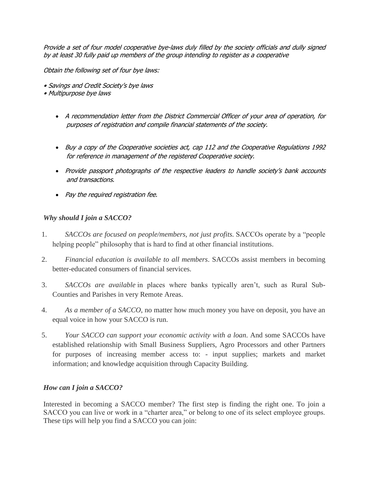Provide a set of four model cooperative bye-laws duly filled by the society officials and dully signed by at least 30 fully paid up members of the group intending to register as a cooperative

Obtain the following set of four bye laws:

- Savings and Credit Society's bye laws
- Multipurpose bye laws
	- A recommendation letter from the District Commercial Officer of your area of operation, for purposes of registration and compile financial statements of the society.
	- Buy a copy of the Cooperative societies act, cap 112 and the Cooperative Regulations 1992 for reference in management of the registered Cooperative society.
	- Provide passport photographs of the respective leaders to handle society's bank accounts and transactions.
	- Pay the required registration fee.

## *Why should I join a SACCO?*

- 1. SACCOs are focused on people/members, not just profits. SACCOs operate by a "people" helping people" philosophy that is hard to find at other financial institutions.
- 2. *Financial education is available to all members*. SACCOs assist members in becoming better-educated consumers of financial services.
- 3. *SACCOs are available* in places where banks typically aren't, such as Rural Sub-Counties and Parishes in very Remote Areas.
- 4. *As a member of a SACCO*, no matter how much money you have on deposit, you have an equal voice in how your SACCO is run.
- 5. *Your SACCO can support your economic activity with a loan*. And some SACCOs have established relationship with Small Business Suppliers, Agro Processors and other Partners for purposes of increasing member access to: - input supplies; markets and market information; and knowledge acquisition through Capacity Building.

## *How can I join a SACCO?*

Interested in becoming a SACCO member? The first step is finding the right one. To join a SACCO you can live or work in a "charter area," or belong to one of its select employee groups. These tips will help you find a SACCO you can join: